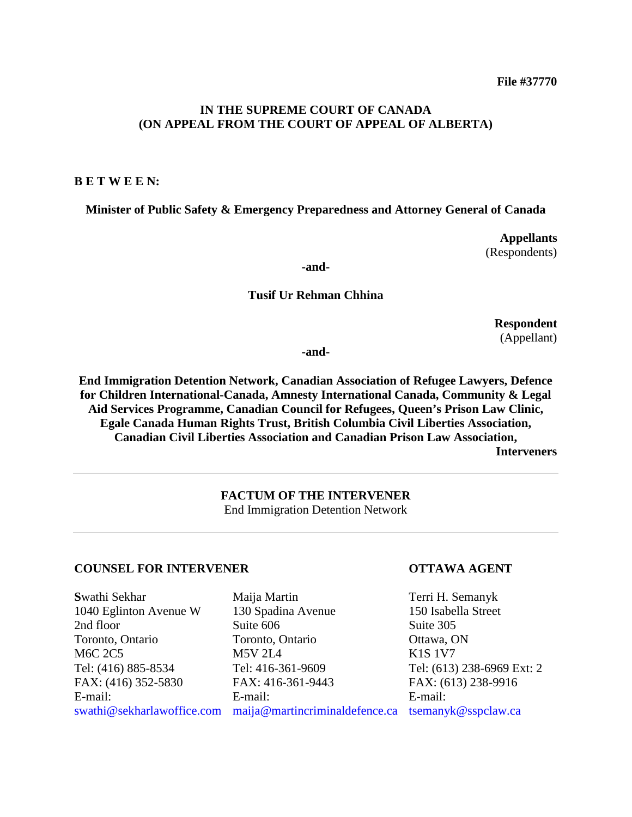#### **IN THE SUPREME COURT OF CANADA (ON APPEAL FROM THE COURT OF APPEAL OF ALBERTA)**

#### **B E T W E E N:**

**Minister of Public Safety & Emergency Preparedness and Attorney General of Canada**

**Appellants** (Respondents)

**-and-**

#### **Tusif Ur Rehman Chhina**

**Respondent** (Appellant)

**-and-**

**End Immigration Detention Network, Canadian Association of Refugee Lawyers, Defence for Children International-Canada, Amnesty International Canada, Community & Legal Aid Services Programme, Canadian Council for Refugees, Queen's Prison Law Clinic, Egale Canada Human Rights Trust, British Columbia Civil Liberties Association, Canadian Civil Liberties Association and Canadian Prison Law Association, Interveners**

> **FACTUM OF THE INTERVENER** End Immigration Detention Network

#### **COUNSEL FOR INTERVENER OTTAWA AGENT**

**S**wathi Sekhar 1040 Eglinton Avenue W 2nd floor Toronto, Ontario M6C 2C5 Tel: (416) 885-8534 FAX: (416) 352-5830 E-mail:

Maija Martin 130 Spadina Avenue Suite 606 Toronto, Ontario M5V 2L4 Tel: 416-361-9609 FAX: 416-361-9443 E-mail: swathi@sekharlawoffice.com [maija@martincriminaldefence.ca](mailto:maija@martincriminaldefence.ca) tsemanyk@sspclaw.ca

Terri H. Semanyk 150 Isabella Street Suite 305 Ottawa, ON K1S 1V7 Tel: (613) 238-6969 Ext: 2 FAX: (613) 238-9916 E-mail: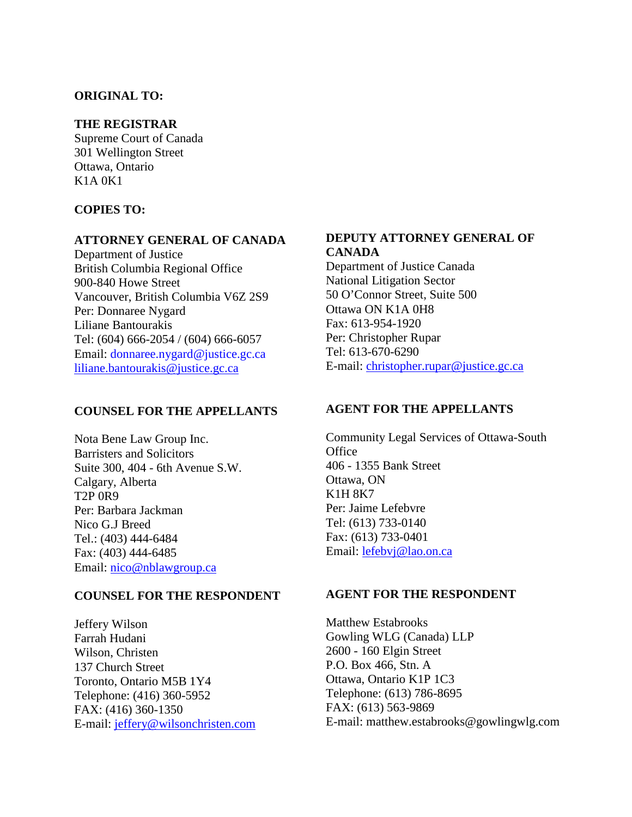#### **ORIGINAL TO:**

#### **THE REGISTRAR**

Supreme Court of Canada 301 Wellington Street Ottawa, Ontario K1A 0K1

#### **COPIES TO:**

#### **ATTORNEY GENERAL OF CANADA**

Department of Justice British Columbia Regional Office 900-840 Howe Street Vancouver, British Columbia V6Z 2S9 Per: Donnaree Nygard Liliane Bantourakis Tel: (604) 666-2054 / (604) 666-6057 Email: donnaree.nygard@justice.gc.ca [liliane.bantourakis@justice.gc.ca](mailto:liliane.bantourakis@justice.gc.ca)

#### **COUNSEL FOR THE APPELLANTS**

Nota Bene Law Group Inc. Barristers and Solicitors Suite 300, 404 - 6th Avenue S.W. Calgary, Alberta T2P 0R9 Per: Barbara Jackman Nico G.J Breed Tel.: (403) 444-6484 Fax: (403) 444-6485 Email: [nico@nblawgroup.ca](mailto:nico@nblawgroup.ca)

#### **COUNSEL FOR THE RESPONDENT**

Jeffery Wilson Farrah Hudani Wilson, Christen 137 Church Street Toronto, Ontario M5B 1Y4 Telephone: (416) 360-5952 FAX: (416) 360-1350 E-mail: [jeffery@wilsonchristen.com](mailto:jeffery@wilsonchristen.com)

#### **DEPUTY ATTORNEY GENERAL OF CANADA**

Department of Justice Canada National Litigation Sector 50 O'Connor Street, Suite 500 Ottawa ON K1A 0H8 Fax: 613-954-1920 Per: Christopher Rupar Tel: 613-670-6290 E-mail: [christopher.rupar@justice.gc.ca](mailto:christopher.rupar@justice.gc.ca)

#### **AGENT FOR THE APPELLANTS**

Community Legal Services of Ottawa-South **Office** 406 - 1355 Bank Street Ottawa, ON K1H 8K7 Per: Jaime Lefebvre Tel: (613) 733-0140 Fax: (613) 733-0401 Email: [lefebvj@lao.on.ca](mailto:lefebvj@lao.on.ca)

#### **AGENT FOR THE RESPONDENT**

Matthew Estabrooks Gowling WLG (Canada) LLP 2600 - 160 Elgin Street P.O. Box 466, Stn. A Ottawa, Ontario K1P 1C3 Telephone: (613) 786-8695 FAX: (613) 563-9869 E-mail: matthew.estabrooks@gowlingwlg.com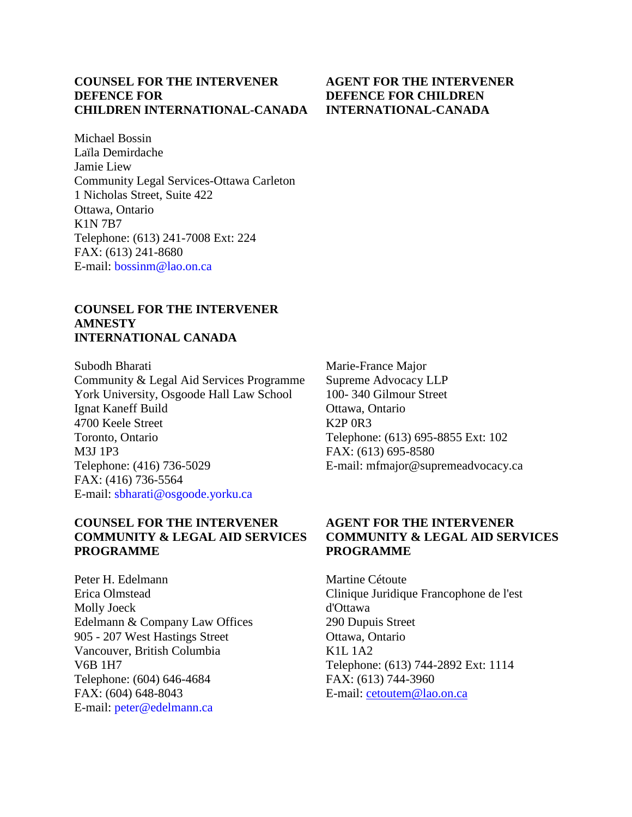### **COUNSEL FOR THE INTERVENER DEFENCE FOR CHILDREN INTERNATIONAL-CANADA**

Michael Bossin Laïla Demirdache Jamie Liew Community Legal Services-Ottawa Carleton 1 Nicholas Street, Suite 422 Ottawa, Ontario K1N 7B7 Telephone: (613) 241-7008 Ext: 224 FAX: (613) 241-8680 E-mail: bossinm@lao.on.ca

#### **COUNSEL FOR THE INTERVENER AMNESTY INTERNATIONAL CANADA**

Subodh Bharati Community & Legal Aid Services Programme York University, Osgoode Hall Law School Ignat Kaneff Build 4700 Keele Street Toronto, Ontario M3J 1P3 Telephone: (416) 736-5029 FAX: (416) 736-5564 E-mail: sbharati@osgoode.yorku.ca

#### **COUNSEL FOR THE INTERVENER COMMUNITY & LEGAL AID SERVICES PROGRAMME**

Peter H. Edelmann Erica Olmstead Molly Joeck Edelmann & Company Law Offices 905 - 207 West Hastings Street Vancouver, British Columbia V6B 1H7 Telephone: (604) 646-4684 FAX: (604) 648-8043 E-mail: peter@edelmann.ca

Marie-France Major Supreme Advocacy LLP 100- 340 Gilmour Street Ottawa, Ontario K2P 0R3 Telephone: (613) 695-8855 Ext: 102 FAX: (613) 695-8580 E-mail: mfmajor@supremeadvocacy.ca

#### **AGENT FOR THE INTERVENER COMMUNITY & LEGAL AID SERVICES PROGRAMME**

Martine Cétoute Clinique Juridique Francophone de l'est d'Ottawa 290 Dupuis Street Ottawa, Ontario K1L 1A2 Telephone: (613) 744-2892 Ext: 1114 FAX: (613) 744-3960 E-mail: [cetoutem@lao.on.ca](mailto:cetoutem@lao.on.ca)

#### **AGENT FOR THE INTERVENER DEFENCE FOR CHILDREN INTERNATIONAL-CANADA**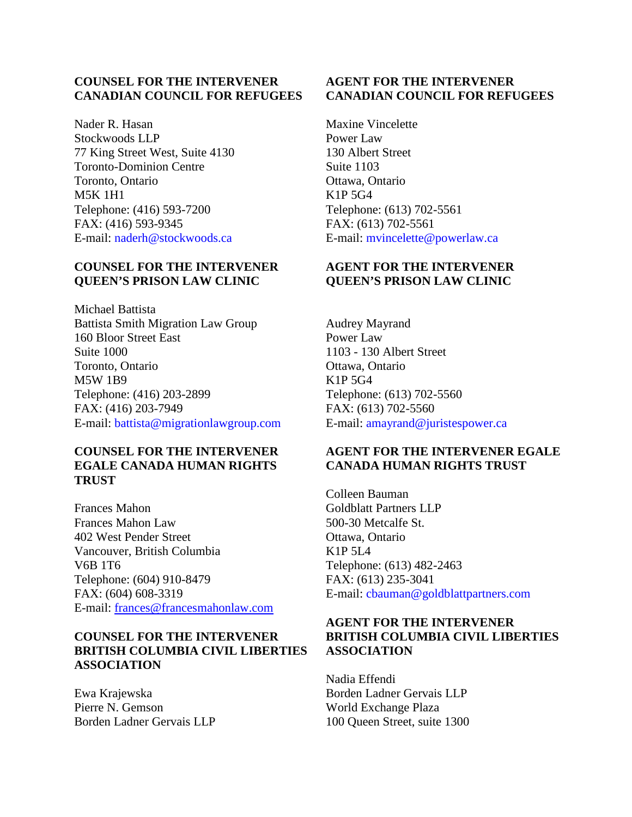#### **COUNSEL FOR THE INTERVENER CANADIAN COUNCIL FOR REFUGEES**

Nader R. Hasan Stockwoods LLP 77 King Street West, Suite 4130 Toronto-Dominion Centre Toronto, Ontario M5K 1H1 Telephone: (416) 593-7200 FAX: (416) 593-9345 E-mail: naderh@stockwoods.ca

#### **COUNSEL FOR THE INTERVENER QUEEN'S PRISON LAW CLINIC**

Michael Battista Battista Smith Migration Law Group 160 Bloor Street East Suite 1000 Toronto, Ontario M5W 1B9 Telephone: (416) 203-2899 FAX: (416) 203-7949 E-mail: battista@migrationlawgroup.com

#### **COUNSEL FOR THE INTERVENER EGALE CANADA HUMAN RIGHTS TRUST**

Frances Mahon Frances Mahon Law 402 West Pender Street Vancouver, British Columbia V6B 1T6 Telephone: (604) 910-8479 FAX: (604) 608-3319 E-mail: [frances@francesmahonlaw.com](mailto:frances@francesmahonlaw.com)

#### **COUNSEL FOR THE INTERVENER BRITISH COLUMBIA CIVIL LIBERTIES ASSOCIATION**

Ewa Krajewska Pierre N. Gemson Borden Ladner Gervais LLP

#### **AGENT FOR THE INTERVENER CANADIAN COUNCIL FOR REFUGEES**

Maxine Vincelette Power Law 130 Albert Street Suite 1103 Ottawa, Ontario K1P 5G4 Telephone: (613) 702-5561 FAX: (613) 702-5561 E-mail: mvincelette@powerlaw.ca

### **AGENT FOR THE INTERVENER QUEEN'S PRISON LAW CLINIC**

Audrey Mayrand Power Law 1103 - 130 Albert Street Ottawa, Ontario K1P 5G4 Telephone: (613) 702-5560 FAX: (613) 702-5560 E-mail: amayrand@juristespower.ca

#### **AGENT FOR THE INTERVENER EGALE CANADA HUMAN RIGHTS TRUST**

Colleen Bauman Goldblatt Partners LLP 500-30 Metcalfe St. Ottawa, Ontario K1P 5L4 Telephone: (613) 482-2463 FAX: (613) 235-3041 E-mail: cbauman@goldblattpartners.com

### **AGENT FOR THE INTERVENER BRITISH COLUMBIA CIVIL LIBERTIES ASSOCIATION**

Nadia Effendi Borden Ladner Gervais LLP World Exchange Plaza 100 Queen Street, suite 1300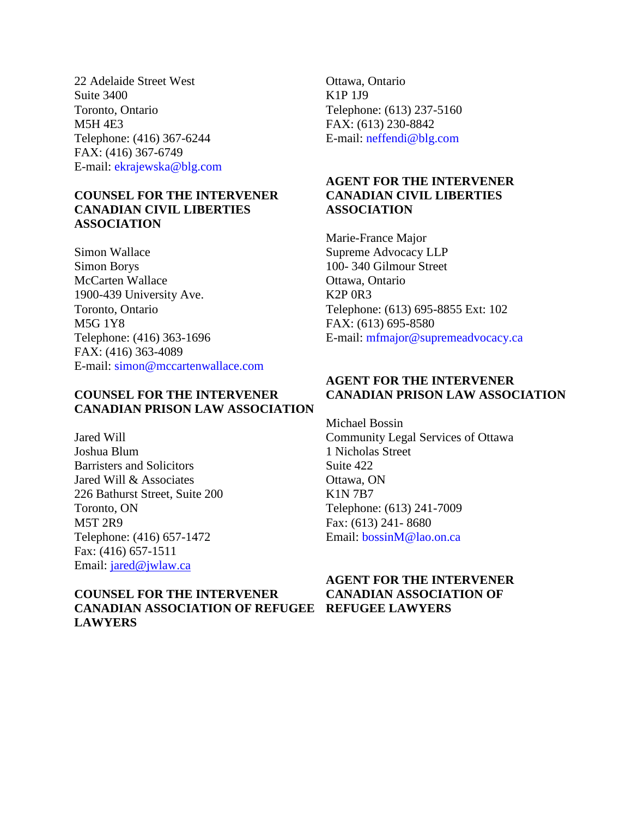22 Adelaide Street West Suite 3400 Toronto, Ontario M5H 4E3 Telephone: (416) 367-6244 FAX: (416) 367-6749 E-mail: ekrajewska@blg.com

#### **COUNSEL FOR THE INTERVENER CANADIAN CIVIL LIBERTIES ASSOCIATION**

Simon Wallace Simon Borys McCarten Wallace 1900-439 University Ave. Toronto, Ontario M5G 1Y8 Telephone: (416) 363-1696 FAX: (416) 363-4089 E-mail: simon@mccartenwallace.com

### **COUNSEL FOR THE INTERVENER CANADIAN PRISON LAW ASSOCIATION**

Jared Will Joshua Blum Barristers and Solicitors Jared Will & Associates 226 Bathurst Street, Suite 200 Toronto, ON M5T 2R9 Telephone: (416) 657-1472 Fax: (416) 657-1511 Email: [jared@jwlaw.ca](mailto:jared@jwlaw.ca)

### **COUNSEL FOR THE INTERVENER CANADIAN ASSOCIATION OF REFUGEE REFUGEE LAWYERSLAWYERS**

Ottawa, Ontario K1P 1J9 Telephone: (613) 237-5160 FAX: (613) 230-8842 E-mail: neffendi@blg.com

#### **AGENT FOR THE INTERVENER CANADIAN CIVIL LIBERTIES ASSOCIATION**

Marie-France Major Supreme Advocacy LLP 100- 340 Gilmour Street Ottawa, Ontario K2P 0R3 Telephone: (613) 695-8855 Ext: 102 FAX: (613) 695-8580 E-mail: mfmajor@supremeadvocacy.ca

#### **AGENT FOR THE INTERVENER CANADIAN PRISON LAW ASSOCIATION**

Michael Bossin Community Legal Services of Ottawa 1 Nicholas Street Suite 422 Ottawa, ON K1N 7B7 Telephone: (613) 241-7009 Fax: (613) 241- 8680 Email: bossinM@lao.on.ca

# **AGENT FOR THE INTERVENER CANADIAN ASSOCIATION OF**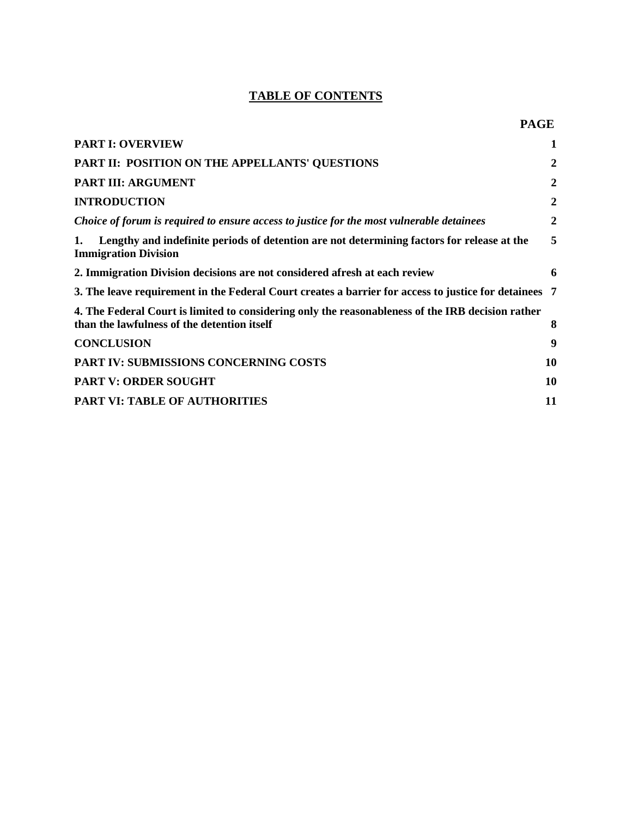## **TABLE OF CONTENTS**

| <b>PART I: OVERVIEW</b>                                                                                                                          | 1              |
|--------------------------------------------------------------------------------------------------------------------------------------------------|----------------|
| PART II: POSITION ON THE APPELLANTS' QUESTIONS                                                                                                   | $\overline{2}$ |
| <b>PART III: ARGUMENT</b>                                                                                                                        | $\overline{2}$ |
| <b>INTRODUCTION</b>                                                                                                                              | $\overline{2}$ |
| Choice of forum is required to ensure access to justice for the most vulnerable detainees                                                        | $\overline{2}$ |
| Lengthy and indefinite periods of detention are not determining factors for release at the<br>1.<br><b>Immigration Division</b>                  | 5              |
| 2. Immigration Division decisions are not considered afresh at each review                                                                       | 6              |
| 3. The leave requirement in the Federal Court creates a barrier for access to justice for detainees 7                                            |                |
| 4. The Federal Court is limited to considering only the reasonableness of the IRB decision rather<br>than the lawfulness of the detention itself | 8              |
| <b>CONCLUSION</b>                                                                                                                                | 9              |
| PART IV: SUBMISSIONS CONCERNING COSTS                                                                                                            | 10             |
| <b>PART V: ORDER SOUGHT</b>                                                                                                                      | 10             |
| <b>PART VI: TABLE OF AUTHORITIES</b>                                                                                                             | 11             |
|                                                                                                                                                  |                |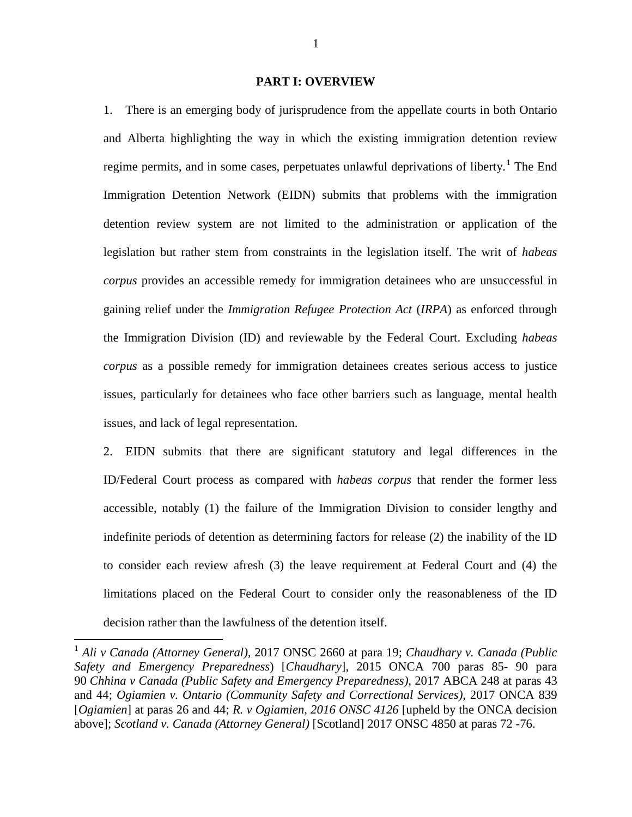#### **PART I: OVERVIEW**

1. There is an emerging body of jurisprudence from the appellate courts in both Ontario and Alberta highlighting the way in which the existing immigration detention review regime permits, and in some cases, perpetuates unlawful deprivations of liberty.<sup>[1](#page-6-0)</sup> The End Immigration Detention Network (EIDN) submits that problems with the immigration detention review system are not limited to the administration or application of the legislation but rather stem from constraints in the legislation itself. The writ of *habeas corpus* provides an accessible remedy for immigration detainees who are unsuccessful in gaining relief under the *Immigration Refugee Protection Act* (*IRPA*) as enforced through the Immigration Division (ID) and reviewable by the Federal Court. Excluding *habeas corpus* as a possible remedy for immigration detainees creates serious access to justice issues, particularly for detainees who face other barriers such as language, mental health issues, and lack of legal representation.

2. EIDN submits that there are significant statutory and legal differences in the ID/Federal Court process as compared with *habeas corpus* that render the former less accessible, notably (1) the failure of the Immigration Division to consider lengthy and indefinite periods of detention as determining factors for release (2) the inability of the ID to consider each review afresh (3) the leave requirement at Federal Court and (4) the limitations placed on the Federal Court to consider only the reasonableness of the ID decision rather than the lawfulness of the detention itself.

<span id="page-6-0"></span> <sup>1</sup> *Ali v Canada (Attorney General),* 2017 ONSC 2660 at para 19; *Chaudhary v. Canada (Public Safety and Emergency Preparedness*) [*Chaudhary*], 2015 ONCA 700 paras 85- 90 para 90 *Chhina v Canada (Public Safety and Emergency Preparedness)*, 2017 ABCA 248 at paras 43 and 44; *Ogiamien v. Ontario (Community Safety and Correctional Services)*, 2017 ONCA 839 [*Ogiamien*] at paras 26 and 44; *R. v Ogiamien, 2016 ONSC 4126* [upheld by the ONCA decision above]; *Scotland v. Canada (Attorney General)* [Scotland] 2017 ONSC 4850 at paras 72 -76.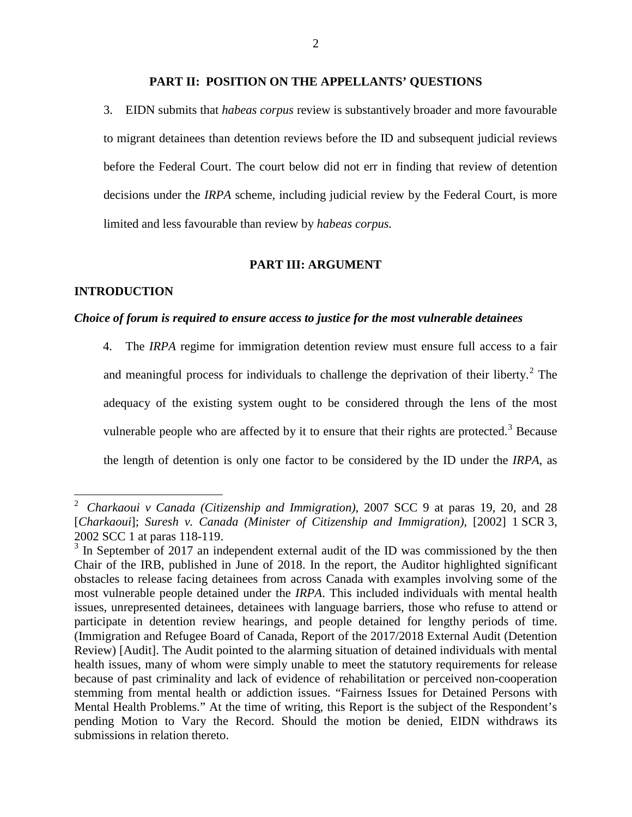#### **PART II: POSITION ON THE APPELLANTS' QUESTIONS**

3. EIDN submits that *habeas corpus* review is substantively broader and more favourable to migrant detainees than detention reviews before the ID and subsequent judicial reviews before the Federal Court. The court below did not err in finding that review of detention decisions under the *IRPA* scheme, including judicial review by the Federal Court, is more limited and less favourable than review by *habeas corpus.*

#### **PART III: ARGUMENT**

#### **INTRODUCTION**

#### *Choice of forum is required to ensure access to justice for the most vulnerable detainees*

4. The *IRPA* regime for immigration detention review must ensure full access to a fair and meaningful process for individuals to challenge the deprivation of their liberty. $^{2}$  $^{2}$  $^{2}$  The adequacy of the existing system ought to be considered through the lens of the most vulnerable people who are affected by it to ensure that their rights are protected.<sup>[3](#page-7-1)</sup> Because the length of detention is only one factor to be considered by the ID under the *IRPA*, as

<span id="page-7-0"></span> <sup>2</sup> *Charkaoui v Canada (Citizenship and Immigration)*, 2007 SCC 9 at paras 19, 20, and 28 [*Charkaoui*]; *Suresh v. Canada (Minister of Citizenship and Immigration)*, [2002] 1 SCR 3,

<span id="page-7-1"></span><sup>2002</sup> SCC 1 at paras 118-119.<br> $3 \text{ In September of } 2017$  an independent external audit of the ID was commissioned by the then Chair of the IRB, published in June of 2018. In the report, the Auditor highlighted significant obstacles to release facing detainees from across Canada with examples involving some of the most vulnerable people detained under the *IRPA*. This included individuals with mental health issues, unrepresented detainees, detainees with language barriers, those who refuse to attend or participate in detention review hearings, and people detained for lengthy periods of time. (Immigration and Refugee Board of Canada, Report of the 2017/2018 External Audit (Detention Review) [Audit]. The Audit pointed to the alarming situation of detained individuals with mental health issues, many of whom were simply unable to meet the statutory requirements for release because of past criminality and lack of evidence of rehabilitation or perceived non-cooperation stemming from mental health or addiction issues. "Fairness Issues for Detained Persons with Mental Health Problems." At the time of writing, this Report is the subject of the Respondent's pending Motion to Vary the Record. Should the motion be denied, EIDN withdraws its submissions in relation thereto.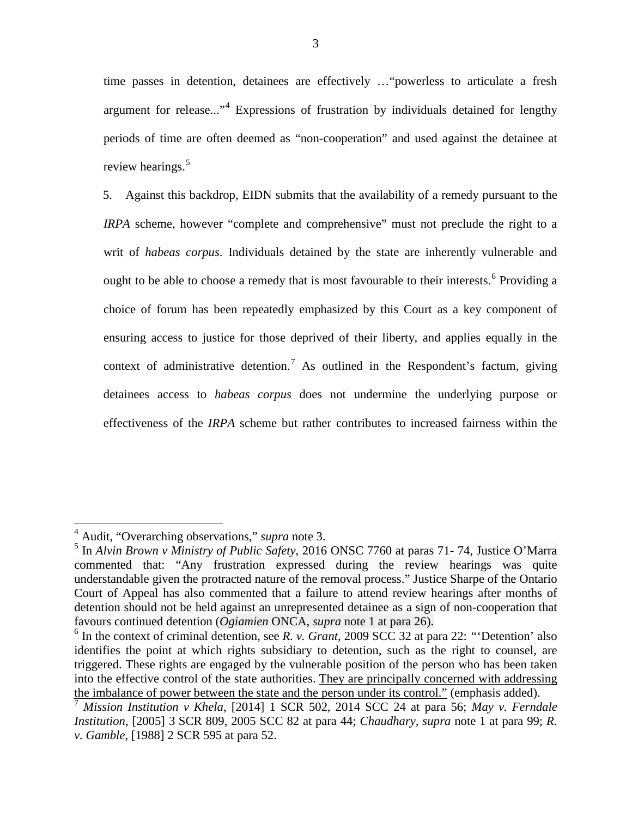time passes in detention, detainees are effectively …"powerless to articulate a fresh argument for release..."[4](#page-8-0) Expressions of frustration by individuals detained for lengthy periods of time are often deemed as "non-cooperation" and used against the detainee at review hearings.<sup>[5](#page-8-1)</sup>

5. Against this backdrop, EIDN submits that the availability of a remedy pursuant to the *IRPA* scheme, however "complete and comprehensive" must not preclude the right to a writ of *habeas corpus*. Individuals detained by the state are inherently vulnerable and ought to be able to choose a remedy that is most favourable to their interests.<sup>[6](#page-8-2)</sup> Providing a choice of forum has been repeatedly emphasized by this Court as a key component of ensuring access to justice for those deprived of their liberty, and applies equally in the context of administrative detention.<sup>[7](#page-8-3)</sup> As outlined in the Respondent's factum, giving detainees access to *habeas corpus* does not undermine the underlying purpose or effectiveness of the *IRPA* scheme but rather contributes to increased fairness within the

<span id="page-8-0"></span> <sup>4</sup> Audit, "Overarching observations," *supra* note 3.

<span id="page-8-1"></span><sup>5</sup> In *Alvin Brown v Ministry of Public Safety*, 2016 ONSC 7760 at paras 71- 74, Justice O'Marra commented that: "Any frustration expressed during the review hearings was quite understandable given the protracted nature of the removal process." Justice Sharpe of the Ontario Court of Appeal has also commented that a failure to attend review hearings after months of detention should not be held against an unrepresented detainee as a sign of non-cooperation that favours continued detention (*Ogiamien* ONCA*, supra* note 1 at para 26).

<span id="page-8-2"></span><sup>6</sup> In the context of criminal detention, see *R. v. Grant*, 2009 SCC 32 at para 22: *"*'Detention' also identifies the point at which rights subsidiary to detention, such as the right to counsel, are triggered. These rights are engaged by the vulnerable position of the person who has been taken into the effective control of the state authorities. They are principally concerned with addressing the imbalance of power between the state and the person under its control." (emphasis added).

<span id="page-8-3"></span><sup>7</sup> *Mission Institution v Khela*, [2014] 1 SCR 502, 2014 SCC 24 at para 56; *May v. Ferndale Institution*, [2005] 3 SCR 809, 2005 SCC 82 at para 44; *Chaudhary, supra* note 1 at para 99; *R. v. Gamble,* [1988] 2 SCR 595 at para 52.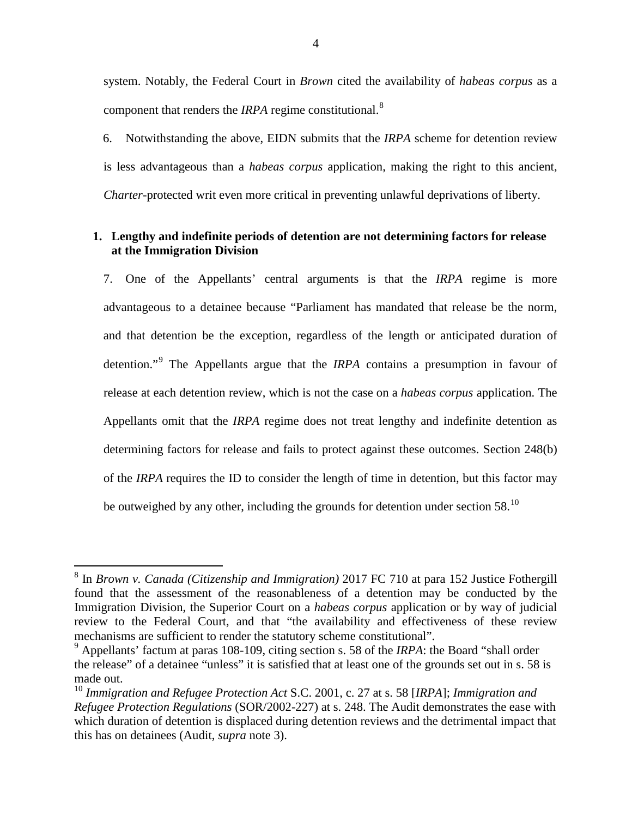system. Notably, the Federal Court in *Brown* cited the availability of *habeas corpus* as a component that renders the *IRPA* regime constitutional.[8](#page-9-0)

6. Notwithstanding the above, EIDN submits that the *IRPA* scheme for detention review is less advantageous than a *habeas corpus* application, making the right to this ancient, *Charter*-protected writ even more critical in preventing unlawful deprivations of liberty.

#### **1. Lengthy and indefinite periods of detention are not determining factors for release at the Immigration Division**

7. One of the Appellants' central arguments is that the *IRPA* regime is more advantageous to a detainee because "Parliament has mandated that release be the norm, and that detention be the exception, regardless of the length or anticipated duration of detention."[9](#page-9-1) The Appellants argue that the *IRPA* contains a presumption in favour of release at each detention review, which is not the case on a *habeas corpus* application. The Appellants omit that the *IRPA* regime does not treat lengthy and indefinite detention as determining factors for release and fails to protect against these outcomes. Section 248(b) of the *IRPA* requires the ID to consider the length of time in detention, but this factor may be outweighed by any other, including the grounds for detention under section 58. $^{10}$  $^{10}$  $^{10}$ 

<span id="page-9-0"></span> <sup>8</sup> In *Brown v. Canada (Citizenship and Immigration)* 2017 FC 710 at para 152 Justice Fothergill found that the assessment of the reasonableness of a detention may be conducted by the Immigration Division, the Superior Court on a *habeas corpus* application or by way of judicial review to the Federal Court, and that "the availability and effectiveness of these review mechanisms are sufficient to render the statutory scheme constitutional".

<span id="page-9-1"></span><sup>9</sup> Appellants' factum at paras 108-109, citing section s. 58 of the *IRPA*: the Board "shall order the release" of a detainee "unless" it is satisfied that at least one of the grounds set out in s. 58 is made out.

<span id="page-9-2"></span><sup>10</sup> *Immigration and Refugee Protection Act* S.C. 2001, c. 27 at s. 58 [*IRPA*]; *Immigration and Refugee Protection Regulations* (SOR/2002-227) at s. 248. The Audit demonstrates the ease with which duration of detention is displaced during detention reviews and the detrimental impact that this has on detainees (Audit, *supra* note 3).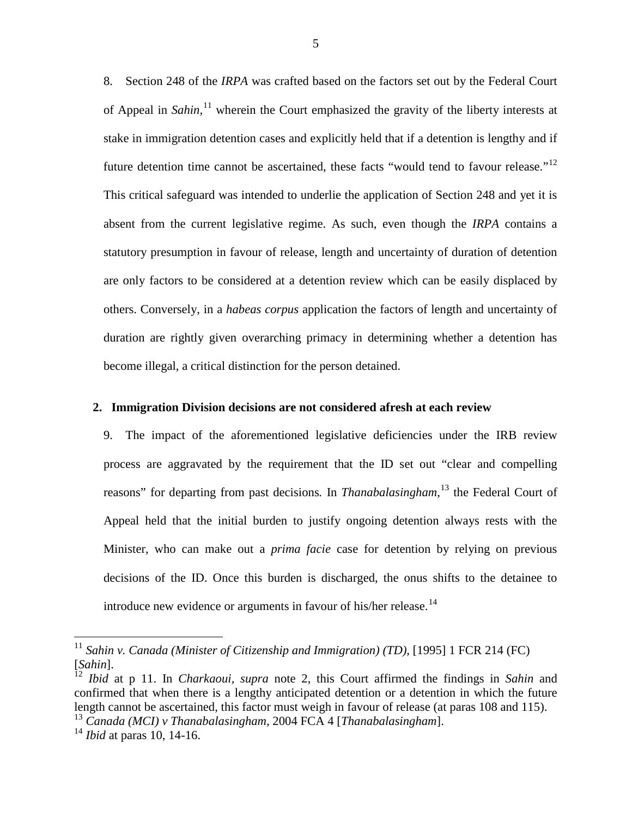8. Section 248 of the *IRPA* was crafted based on the factors set out by the Federal Court of Appeal in *Sahin,* [11](#page-10-0) wherein the Court emphasized the gravity of the liberty interests at stake in immigration detention cases and explicitly held that if a detention is lengthy and if future detention time cannot be ascertained, these facts "would tend to favour release."<sup>[12](#page-10-1)</sup> This critical safeguard was intended to underlie the application of Section 248 and yet it is absent from the current legislative regime. As such, even though the *IRPA* contains a statutory presumption in favour of release, length and uncertainty of duration of detention are only factors to be considered at a detention review which can be easily displaced by others. Conversely, in a *habeas corpus* application the factors of length and uncertainty of duration are rightly given overarching primacy in determining whether a detention has become illegal, a critical distinction for the person detained.

#### **2. Immigration Division decisions are not considered afresh at each review**

9. The impact of the aforementioned legislative deficiencies under the IRB review process are aggravated by the requirement that the ID set out "clear and compelling reasons" for departing from past decisions*.* In *Thanabalasingham*, [13](#page-10-2) the Federal Court of Appeal held that the initial burden to justify ongoing detention always rests with the Minister, who can make out a *prima facie* case for detention by relying on previous decisions of the ID. Once this burden is discharged, the onus shifts to the detainee to introduce new evidence or arguments in favour of his/her release.<sup>[14](#page-10-3)</sup>

<span id="page-10-0"></span><sup>&</sup>lt;sup>11</sup> Sahin v. Canada (Minister of Citizenship and Immigration) (TD), [1995] 1 FCR 214 (FC) [Sahin].

<span id="page-10-1"></span><sup>&</sup>lt;sup>12</sup> *Ibid* at p 11. In *Charkaoui, supra* note 2, this Court affirmed the findings in *Sahin* and confirmed that when there is a lengthy anticipated detention or a detention in which the future length cannot be ascertained, this factor must weigh in favour of release (at paras 108 and 115).

<span id="page-10-2"></span><sup>13</sup> *Canada (MCI) v Thanabalasingham,* 2004 FCA 4 [*Thanabalasingham*].

<span id="page-10-3"></span><sup>14</sup> *Ibid* at paras 10, 14-16.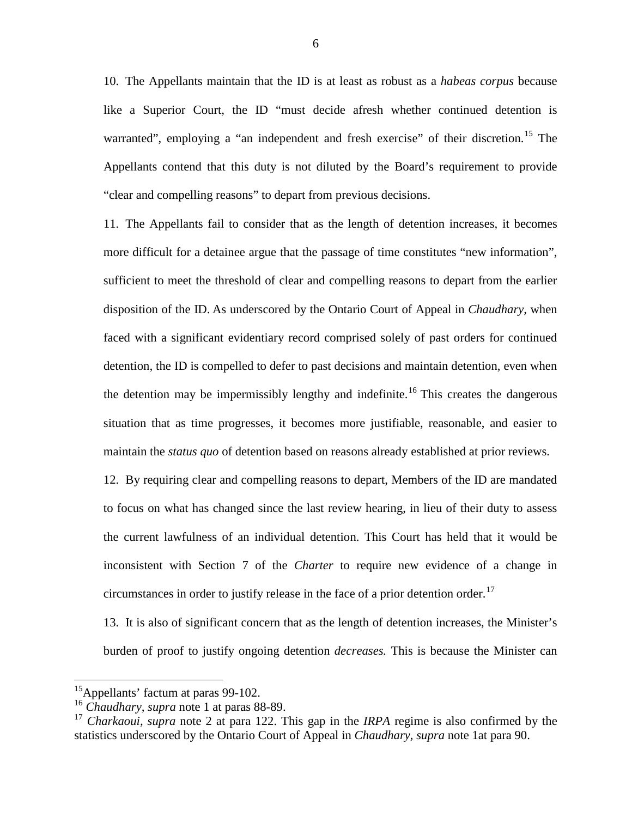10. The Appellants maintain that the ID is at least as robust as a *habeas corpus* because like a Superior Court, the ID "must decide afresh whether continued detention is warranted", employing a "an independent and fresh exercise" of their discretion.<sup>[15](#page-11-0)</sup> The Appellants contend that this duty is not diluted by the Board's requirement to provide "clear and compelling reasons" to depart from previous decisions.

11. The Appellants fail to consider that as the length of detention increases, it becomes more difficult for a detainee argue that the passage of time constitutes "new information", sufficient to meet the threshold of clear and compelling reasons to depart from the earlier disposition of the ID. As underscored by the Ontario Court of Appeal in *Chaudhary,* when faced with a significant evidentiary record comprised solely of past orders for continued detention, the ID is compelled to defer to past decisions and maintain detention, even when the detention may be impermissibly lengthy and indefinite.<sup>[16](#page-11-1)</sup> This creates the dangerous situation that as time progresses, it becomes more justifiable, reasonable, and easier to maintain the *status quo* of detention based on reasons already established at prior reviews.

12. By requiring clear and compelling reasons to depart, Members of the ID are mandated to focus on what has changed since the last review hearing, in lieu of their duty to assess the current lawfulness of an individual detention. This Court has held that it would be inconsistent with Section 7 of the *Charter* to require new evidence of a change in circumstances in order to justify release in the face of a prior detention order.<sup>[17](#page-11-2)</sup>

13. It is also of significant concern that as the length of detention increases, the Minister's burden of proof to justify ongoing detention *decreases.* This is because the Minister can

<span id="page-11-0"></span> <sup>15</sup>Appellants' factum at paras 99-102.

<span id="page-11-1"></span><sup>16</sup> *Chaudhary, supra* note 1 at paras 88-89.

<span id="page-11-2"></span><sup>17</sup> *Charkaoui, supra* note 2 at para 122. This gap in the *IRPA* regime is also confirmed by the statistics underscored by the Ontario Court of Appeal in *Chaudhary, supra* note 1at para 90.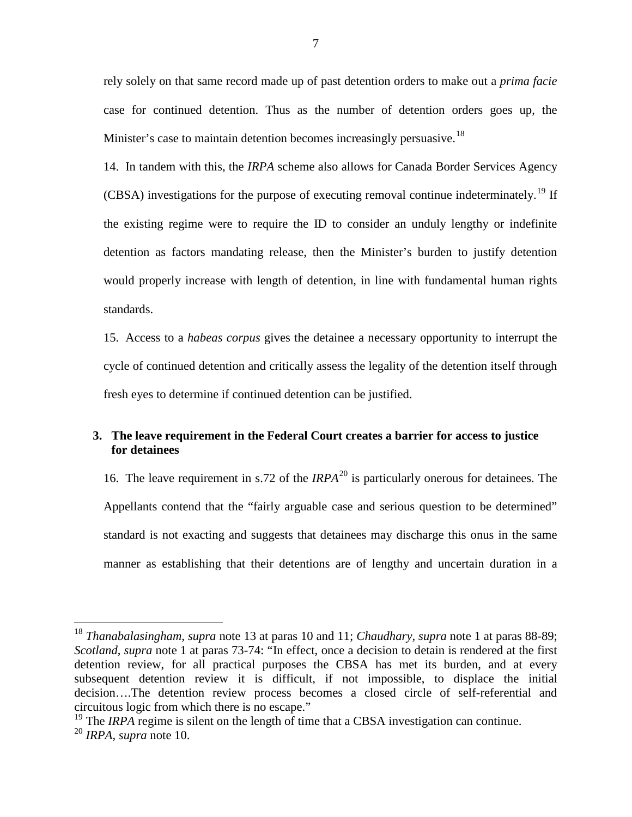rely solely on that same record made up of past detention orders to make out a *prima facie* case for continued detention. Thus as the number of detention orders goes up, the Minister's case to maintain detention becomes increasingly persuasive.<sup>[18](#page-12-0)</sup>

14. In tandem with this, the *IRPA* scheme also allows for Canada Border Services Agency (CBSA) investigations for the purpose of executing removal continue indeterminately.<sup>[19](#page-12-1)</sup> If the existing regime were to require the ID to consider an unduly lengthy or indefinite detention as factors mandating release, then the Minister's burden to justify detention would properly increase with length of detention, in line with fundamental human rights standards.

15. Access to a *habeas corpus* gives the detainee a necessary opportunity to interrupt the cycle of continued detention and critically assess the legality of the detention itself through fresh eyes to determine if continued detention can be justified.

#### **3. The leave requirement in the Federal Court creates a barrier for access to justice for detainees**

16. The leave requirement in s.72 of the *IRPA*<sup>[20](#page-12-2)</sup> is particularly onerous for detainees. The Appellants contend that the "fairly arguable case and serious question to be determined" standard is not exacting and suggests that detainees may discharge this onus in the same manner as establishing that their detentions are of lengthy and uncertain duration in a

<span id="page-12-0"></span> <sup>18</sup> *Thanabalasingham, supra* note 13 at paras 10 and 11; *Chaudhary, supra* note 1 at paras 88-89; *Scotland*, *supra* note 1 at paras 73-74: "In effect, once a decision to detain is rendered at the first detention review, for all practical purposes the CBSA has met its burden, and at every subsequent detention review it is difficult, if not impossible, to displace the initial decision….The detention review process becomes a closed circle of self-referential and circuitous logic from which there is no escape."

<span id="page-12-1"></span><sup>&</sup>lt;sup>19</sup> The *IRPA* regime is silent on the length of time that a CBSA investigation can continue.

<span id="page-12-2"></span><sup>20</sup> *IRPA*, *supra* note 10.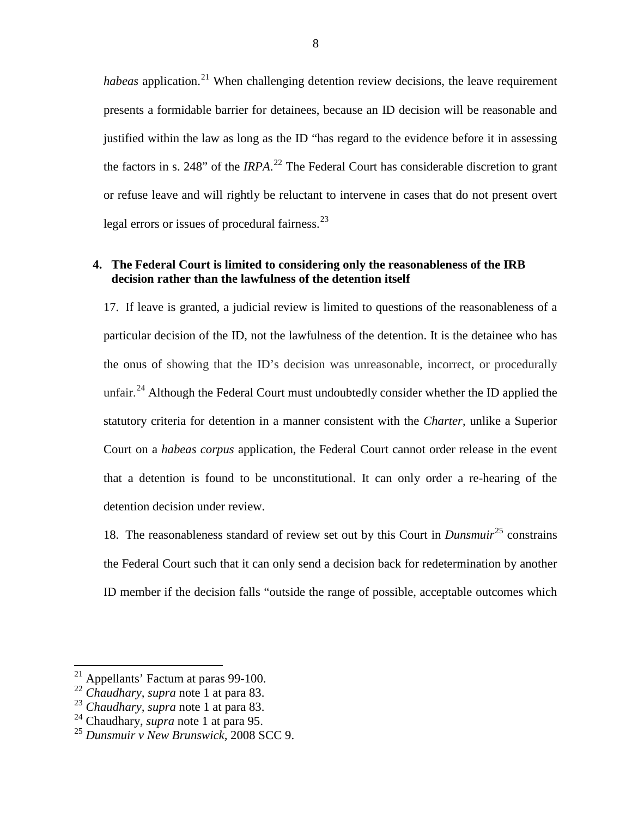*habeas* application.<sup>[21](#page-13-0)</sup> When challenging detention review decisions, the leave requirement presents a formidable barrier for detainees, because an ID decision will be reasonable and justified within the law as long as the ID "has regard to the evidence before it in assessing the factors in s. 248" of the *IRPA*. [22](#page-13-1) The Federal Court has considerable discretion to grant or refuse leave and will rightly be reluctant to intervene in cases that do not present overt legal errors or issues of procedural fairness.<sup>[23](#page-13-2)</sup>

#### **4. The Federal Court is limited to considering only the reasonableness of the IRB decision rather than the lawfulness of the detention itself**

17. If leave is granted, a judicial review is limited to questions of the reasonableness of a particular decision of the ID, not the lawfulness of the detention. It is the detainee who has the onus of showing that the ID's decision was unreasonable, incorrect, or procedurally unfair.<sup>[24](#page-13-3)</sup> Although the Federal Court must undoubtedly consider whether the ID applied the statutory criteria for detention in a manner consistent with the *Charter*, unlike a Superior Court on a *habeas corpus* application, the Federal Court cannot order release in the event that a detention is found to be unconstitutional. It can only order a re-hearing of the detention decision under review.

18. The reasonableness standard of review set out by this Court in *Dunsmuir*[25](#page-13-4) constrains the Federal Court such that it can only send a decision back for redetermination by another ID member if the decision falls "outside the range of possible, acceptable outcomes which

<span id="page-13-0"></span> <sup>21</sup> Appellants' Factum at paras 99-100.

<span id="page-13-1"></span><sup>&</sup>lt;sup>22</sup> *Chaudhary, supra* note 1 at para 83.<br><sup>23</sup> *Chaudhary, supra* note 1 at para 83.

<span id="page-13-2"></span>

<span id="page-13-4"></span><span id="page-13-3"></span><sup>&</sup>lt;sup>24</sup> Chaudhary, *supra* note 1 at para 95.<br><sup>25</sup> Dunsmuir v New Brunswick, 2008 SCC 9.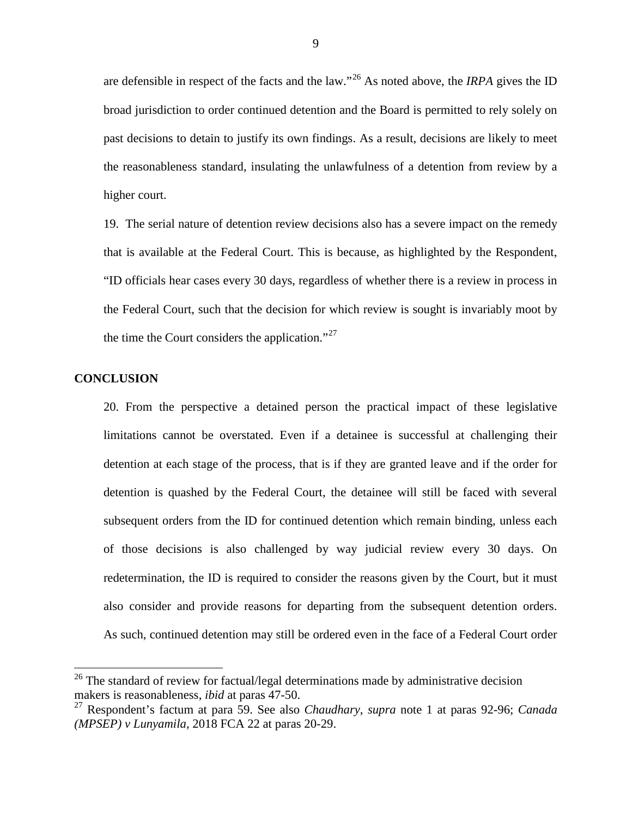are defensible in respect of the facts and the law."[26](#page-14-0) As noted above, the *IRPA* gives the ID broad jurisdiction to order continued detention and the Board is permitted to rely solely on past decisions to detain to justify its own findings. As a result, decisions are likely to meet the reasonableness standard, insulating the unlawfulness of a detention from review by a higher court.

19. The serial nature of detention review decisions also has a severe impact on the remedy that is available at the Federal Court. This is because, as highlighted by the Respondent, "ID officials hear cases every 30 days, regardless of whether there is a review in process in the Federal Court, such that the decision for which review is sought is invariably moot by the time the Court considers the application."<sup>[27](#page-14-1)</sup>

#### **CONCLUSION**

20. From the perspective a detained person the practical impact of these legislative limitations cannot be overstated. Even if a detainee is successful at challenging their detention at each stage of the process, that is if they are granted leave and if the order for detention is quashed by the Federal Court, the detainee will still be faced with several subsequent orders from the ID for continued detention which remain binding, unless each of those decisions is also challenged by way judicial review every 30 days. On redetermination, the ID is required to consider the reasons given by the Court, but it must also consider and provide reasons for departing from the subsequent detention orders. As such, continued detention may still be ordered even in the face of a Federal Court order

<span id="page-14-0"></span> $26$  The standard of review for factual/legal determinations made by administrative decision makers is reasonableness, *ibid* at paras 47-50.

<span id="page-14-1"></span><sup>27</sup> Respondent's factum at para 59. See also *Chaudhary*, *supra* note 1 at paras 92-96; *Canada (MPSEP) v Lunyamila*, 2018 FCA 22 at paras 20-29.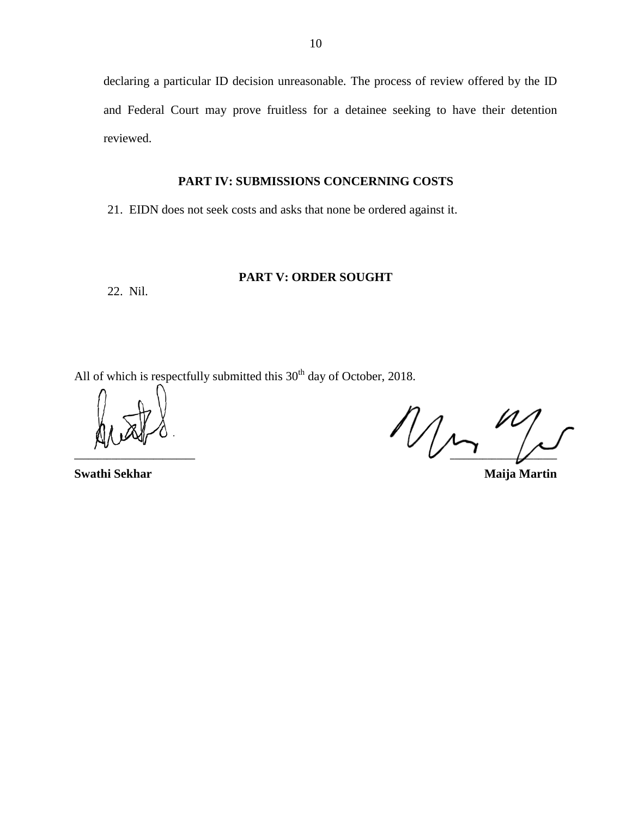declaring a particular ID decision unreasonable. The process of review offered by the ID and Federal Court may prove fruitless for a detainee seeking to have their detention reviewed.

#### **PART IV: SUBMISSIONS CONCERNING COSTS**

21. EIDN does not seek costs and asks that none be ordered against it.

#### **PART V: ORDER SOUGHT**

22. Nil.

All of which is respectfully submitted this  $30<sup>th</sup>$  day of October, 2018.

**\_\_\_\_\_\_\_\_\_\_\_\_\_\_\_\_\_\_\_\_\_\_\_\_\_\_ \_\_\_\_\_\_\_\_\_\_\_\_\_\_\_\_\_\_\_\_\_\_\_**

**Swathi Sekhar Maija Martin**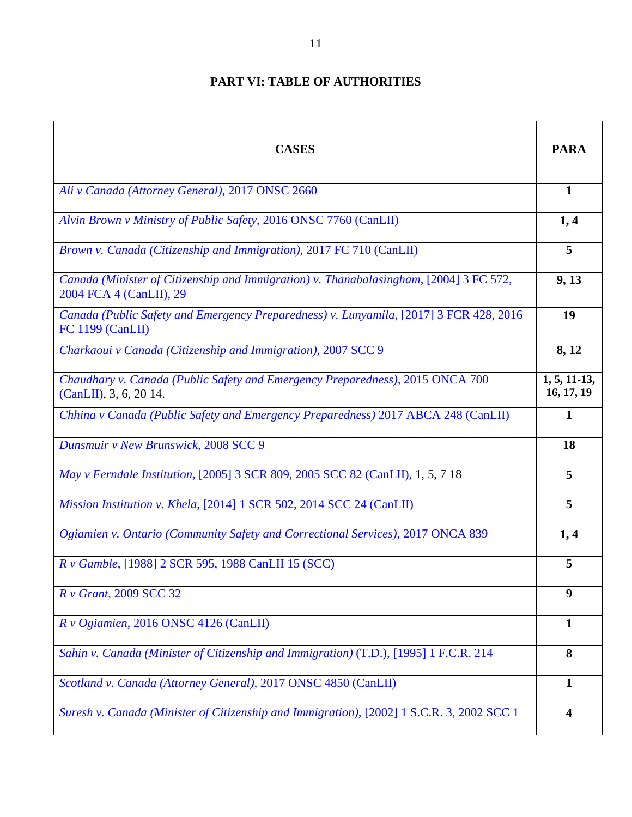# **PART VI: TABLE OF AUTHORITIES**

| <b>CASES</b>                                                                                                      | <b>PARA</b>                  |
|-------------------------------------------------------------------------------------------------------------------|------------------------------|
| Ali v Canada (Attorney General), 2017 ONSC 2660                                                                   | $\mathbf{1}$                 |
| Alvin Brown v Ministry of Public Safety, 2016 ONSC 7760 (CanLII)                                                  | 1,4                          |
| Brown v. Canada (Citizenship and Immigration), 2017 FC 710 (CanLII)                                               | 5                            |
| Canada (Minister of Citizenship and Immigration) v. Thanabalasingham, [2004] 3 FC 572,<br>2004 FCA 4 (CanLII), 29 | 9, 13                        |
| Canada (Public Safety and Emergency Preparedness) v. Lunyamila, [2017] 3 FCR 428, 2016<br><b>FC 1199 (CanLII)</b> | 19                           |
| Charkaoui v Canada (Citizenship and Immigration), 2007 SCC 9                                                      | 8, 12                        |
| Chaudhary v. Canada (Public Safety and Emergency Preparedness), 2015 ONCA 700<br>(CanLII), 3, 6, 20 14.           | $1, 5, 11-13,$<br>16, 17, 19 |
| Chhina v Canada (Public Safety and Emergency Preparedness) 2017 ABCA 248 (CanLII)                                 | 1                            |
| Dunsmuir v New Brunswick, 2008 SCC 9                                                                              | 18                           |
| May v Ferndale Institution, [2005] 3 SCR 809, 2005 SCC 82 (CanLII), 1, 5, 7 18                                    | 5                            |
| Mission Institution v. Khela, [2014] 1 SCR 502, 2014 SCC 24 (CanLII)                                              | 5                            |
| Ogiamien v. Ontario (Community Safety and Correctional Services), 2017 ONCA 839                                   | 1,4                          |
| R v Gamble, [1988] 2 SCR 595, 1988 CanLII 15 (SCC)                                                                | 5                            |
| R v Grant, 2009 SCC 32                                                                                            | 9                            |
| R v Ogiamien, 2016 ONSC 4126 (CanLII)                                                                             | $\mathbf{1}$                 |
| Sahin v. Canada (Minister of Citizenship and Immigration) (T.D.), [1995] 1 F.C.R. 214                             | 8                            |
| Scotland v. Canada (Attorney General), 2017 ONSC 4850 (CanLII)                                                    | $\mathbf{1}$                 |
| Suresh v. Canada (Minister of Citizenship and Immigration), [2002] 1 S.C.R. 3, 2002 SCC 1                         | $\overline{\mathbf{4}}$      |